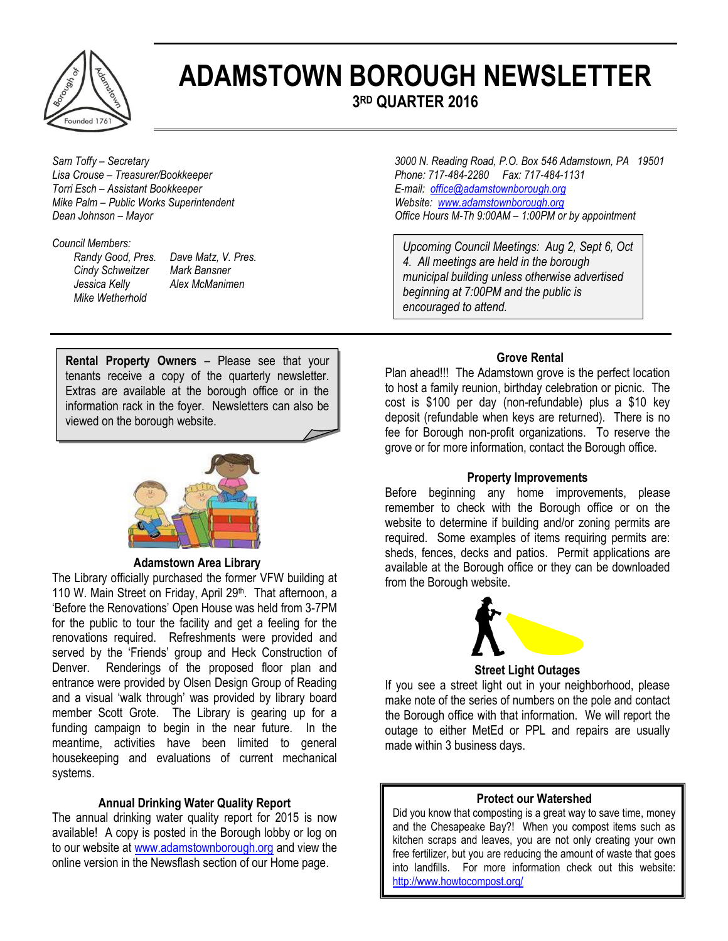

# **ADAMSTOWN BOROUGH NEWSLETTER**

**3 RD QUARTER 2016**

*Torri Esch – Assistant Bookkeeper E-mail: [office@adamstownborough.org](mailto:office@adamstownborough.org) Mike Palm – Public Works Superintendent Mike Palm – Public Works Superintendent Media 1.00PM org*<br> *Dean Johnson – Mayor Mayor CHER DERINGER 1.00PM or <i>Dean Johnson – 1.00PM or* 

#### *Council Members:*

*Cindy Schweitzer Mark Bansner Jessica Kelly Alex McManimen Mike Wetherhold*

*Randy Good, Pres. Dave Matz, V. Pres.* 

*Sam Toffy – Secretary 3000 N. Reading Road, P.O. Box 546 Adamstown, PA 19501 Lisa Crouse – Treasurer/Bookkeeper Phone: 717-484-2280 Fax: 717-484-1131 Dffice Hours M-Th 9:00AM – 1:00PM or by appointment* 

> *Upcoming Council Meetings: Aug 2, Sept 6, Oct 4. All meetings are held in the borough municipal building unless otherwise advertised beginning at 7:00PM and the public is encouraged to attend.*

**Rental Property Owners** – Please see that your tenants receive a copy of the quarterly newsletter. Extras are available at the borough office or in the information rack in the foyer. Newsletters can also be viewed on the borough website.



### **Adamstown Area Library**

The Library officially purchased the former VFW building at 110 W. Main Street on Friday, April 29<sup>th</sup>. That afternoon, a 'Before the Renovations' Open House was held from 3-7PM for the public to tour the facility and get a feeling for the renovations required. Refreshments were provided and served by the 'Friends' group and Heck Construction of Denver. Renderings of the proposed floor plan and entrance were provided by Olsen Design Group of Reading and a visual 'walk through' was provided by library board member Scott Grote. The Library is gearing up for a funding campaign to begin in the near future. In the meantime, activities have been limited to general housekeeping and evaluations of current mechanical systems.

#### **Annual Drinking Water Quality Report**

The annual drinking water quality report for 2015 is now available! A copy is posted in the Borough lobby or log on to our website at [www.adamstownborough.org](http://www.adamstownborough.org/) and view the online version in the Newsflash section of our Home page.

#### **Grove Rental**

Plan ahead!!! The Adamstown grove is the perfect location to host a family reunion, birthday celebration or picnic. The cost is \$100 per day (non-refundable) plus a \$10 key deposit (refundable when keys are returned). There is no fee for Borough non-profit organizations. To reserve the grove or for more information, contact the Borough office.

#### **Property Improvements**

Before beginning any home improvements, please remember to check with the Borough office or on the website to determine if building and/or zoning permits are required. Some examples of items requiring permits are: sheds, fences, decks and patios. Permit applications are available at the Borough office or they can be downloaded from the Borough website.



**Street Light Outages** 

If you see a street light out in your neighborhood, please make note of the series of numbers on the pole and contact the Borough office with that information. We will report the outage to either MetEd or PPL and repairs are usually made within 3 business days.

#### **Protect our Watershed**

Did you know that composting is a great way to save time, money and the Chesapeake Bay?! When you compost items such as kitchen scraps and leaves, you are not only creating your own free fertilizer, but you are reducing the amount of waste that goes into landfills. For more information check out this website: <http://www.howtocompost.org/>